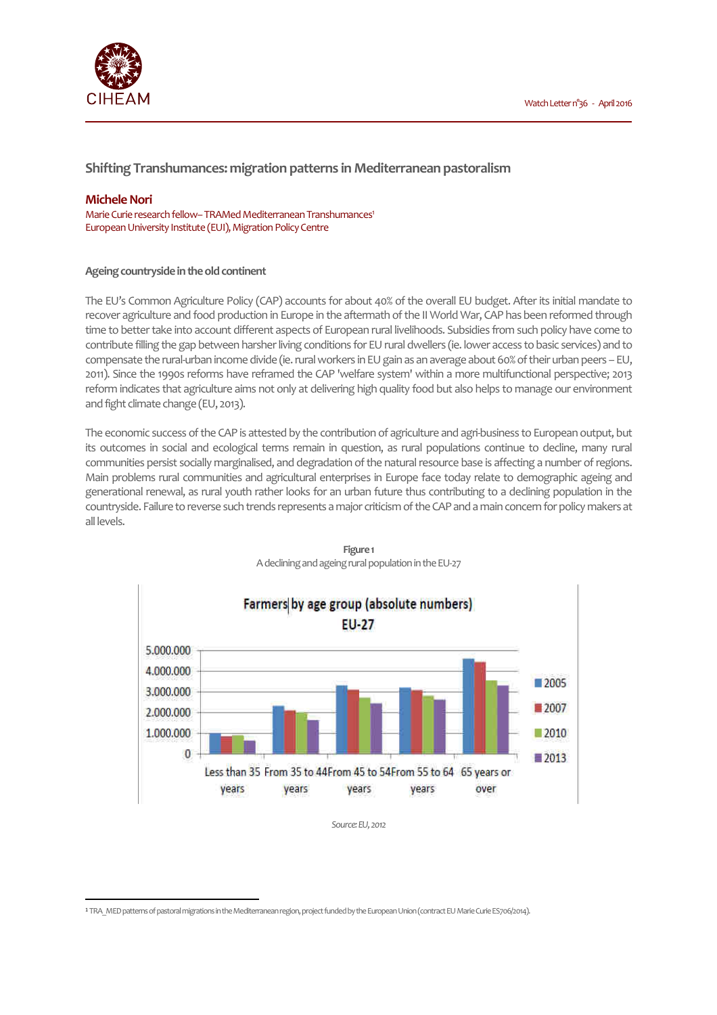

# **Shifting Transhumances: migration patterns in Mediterranean pastoralism**

## **Michele Nori**

 $\overline{a}$ 

Marie Curie research fellow– TRAMed Mediterranean Transhumances<sup>1</sup> European University Institute (EUI), Migration Policy Centre

### **Ageing countryside in the old continent**

The EU's Common Agriculture Policy (CAP) accounts for about 40% of the overall EU budget. After its initial mandate to recover agriculture and food production in Europe in the aftermath of the II World War, CAP has been reformed through time to better take into account different aspects of European rural livelihoods. Subsidies from such policy have come to contribute filling the gap between harsher living conditions for EU rural dwellers (ie. lower access to basic services) and to compensate the rural-urban income divide (ie. rural workers in EU gain as an average about 60% of their urban peers – EU, 2011). Since the 1990s reforms have reframed the CAP 'welfare system' within a more multifunctional perspective; 2013 reform indicates that agriculture aims not only at delivering high quality food but also helps to manage our environment and fight climate change (EU, 2013).

The economic success of the CAP is attested by the contribution of agriculture and agri-business to European output, but its outcomes in social and ecological terms remain in question, as rural populations continue to decline, many rural communities persist socially marginalised, and degradation of the natural resource base is affecting a number of regions. Main problems rural communities and agricultural enterprises in Europe face today relate to demographic ageing and generational renewal, as rural youth rather looks for an urban future thus contributing to a declining population in the countryside. Failure to reverse such trends represents a major criticism of the CAP and a main concern for policy makers at all levels.



**Figure 1**  A declining and ageing rural population in the EU-27

*Source: EU, 2012* 

<sup>1</sup> TRA\_MED patterns of pastoral migrations in the Mediterranean region, project funded by the European Union (contract EU Marie Curie ES706/2014).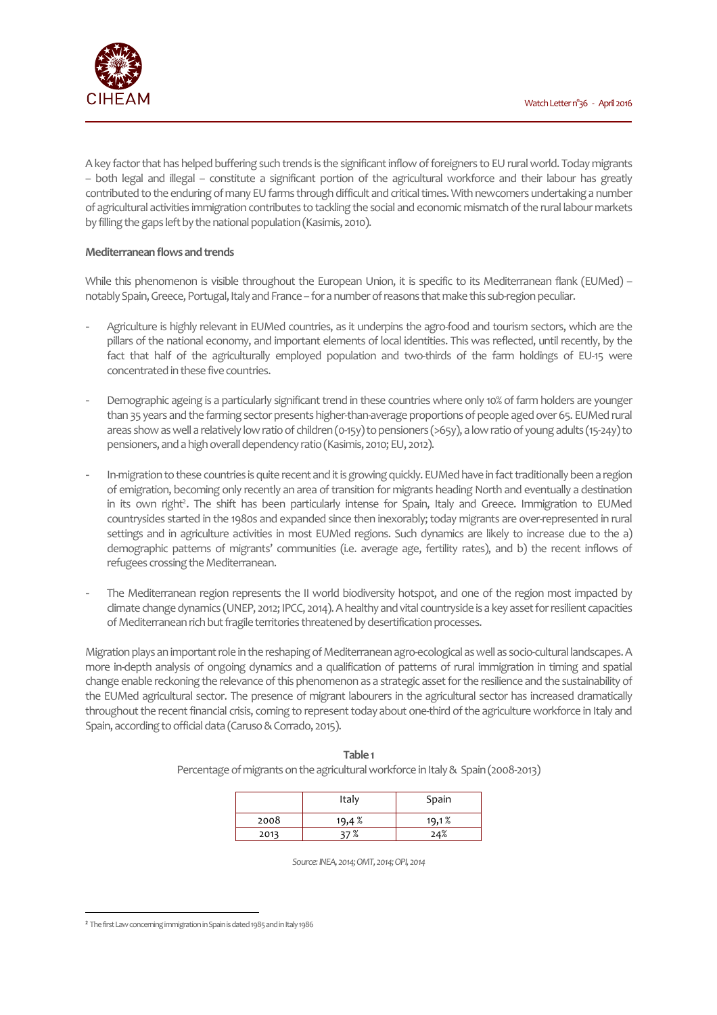

A key factor that has helped buffering such trends is the significant inflow of foreigners to EU rural world. Today migrants – both legal and illegal – constitute a significant portion of the agricultural workforce and their labour has greatly contributed to the enduring of many EU farms through difficult and critical times. With newcomers undertaking a number of agricultural activities immigration contributes to tackling the social and economic mismatch of the rural labour markets by filling the gaps left by the national population (Kasimis, 2010).

### **Mediterranean flows and trends**

While this phenomenon is visible throughout the European Union, it is specific to its Mediterranean flank (EUMed) – notably Spain, Greece, Portugal, Italy and France – for a number of reasons that make this sub-region peculiar.

- Agriculture is highly relevant in EUMed countries, as it underpins the agro-food and tourism sectors, which are the pillars of the national economy, and important elements of local identities. This was reflected, until recently, by the fact that half of the agriculturally employed population and two-thirds of the farm holdings of EU-15 were concentrated in these five countries.
- Demographic ageing is a particularly significant trend in these countries where only 10% of farm holders are younger than 35 years and the farming sector presents higher-than-average proportions of people aged over 65. EUMed rural areas show as well a relatively low ratio of children (0-15y) to pensioners (>65y), a low ratio of young adults (15-24y) to pensioners, and a high overall dependency ratio (Kasimis, 2010; EU, 2012).
- In-migration to these countries is quite recent and it is growing quickly. EUMed have in fact traditionally been a region of emigration, becoming only recently an area of transition for migrants heading North and eventually a destination in its own right<sup>2</sup>. The shift has been particularly intense for Spain, Italy and Greece. Immigration to EUMed countrysides started in the 1980s and expanded since then inexorably; today migrants are over-represented in rural settings and in agriculture activities in most EUMed regions. Such dynamics are likely to increase due to the a) demographic patterns of migrants' communities (i.e. average age, fertility rates), and b) the recent inflows of refugees crossing the Mediterranean.
- The Mediterranean region represents the II world biodiversity hotspot, and one of the region most impacted by climate change dynamics (UNEP, 2012; IPCC, 2014). A healthy and vital countryside is a key asset for resilient capacities of Mediterranean rich but fragile territories threatened by desertification processes.

Migration plays an important role in the reshaping of Mediterranean agro-ecological as well as socio-cultural landscapes. A more in-depth analysis of ongoing dynamics and a qualification of patterns of rural immigration in timing and spatial change enable reckoning the relevance of this phenomenon as a strategic asset for the resilience and the sustainability of the EUMed agricultural sector. The presence of migrant labourers in the agricultural sector has increased dramatically throughout the recent financial crisis, coming to represent today about one-third of the agriculture workforce in Italy and Spain, according to official data (Caruso & Corrado, 2015).

|      | Italy | Spain |
|------|-------|-------|
| 2008 | 19,4% | 19,1% |
| 2013 | ነ7 %  | 24%   |

**Table 1**  Percentage of migrants on the agricultural workforce in Italy & Spain (2008-2013)

*Source: INEA, 2014; OMT, 2014; OPI, 2014* 

 $\overline{a}$ 

<sup>2</sup> The first Law concerning immigration in Spain is dated 1985 and in Italy 1986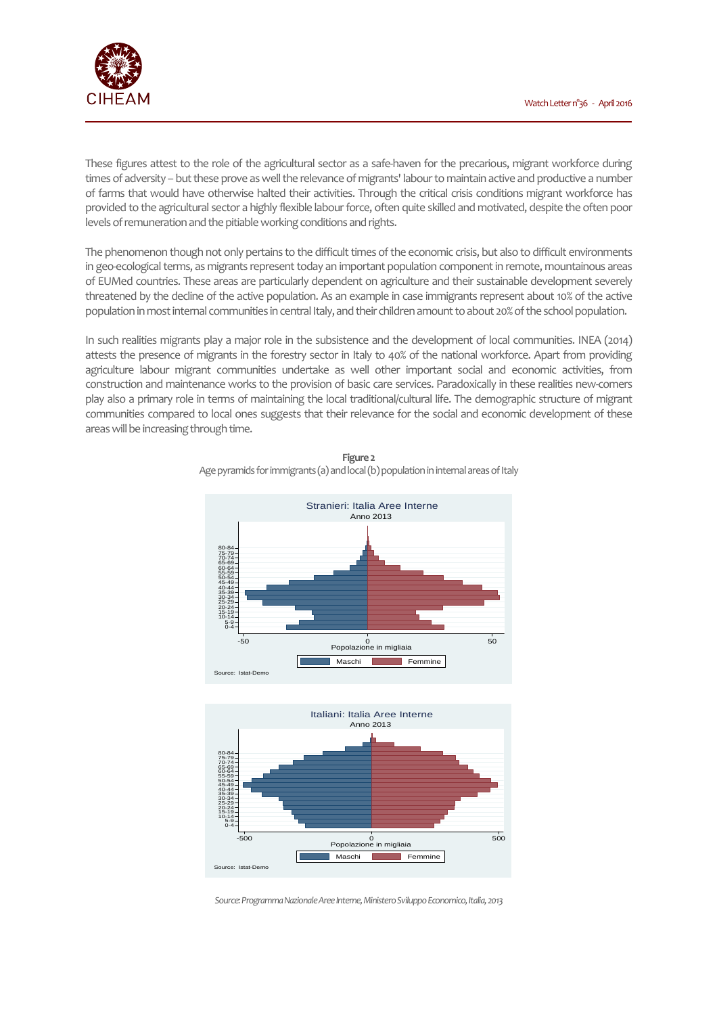

These figures attest to the role of the agricultural sector as a safe-haven for the precarious, migrant workforce during times of adversity – but these prove as well the relevance of migrants' labour to maintain active and productive a number of farms that would have otherwise halted their activities. Through the critical crisis conditions migrant workforce has provided to the agricultural sector a highly flexible labour force, often quite skilled and motivated, despite the often poor levels of remuneration and the pitiable working conditions and rights.

The phenomenon though not only pertains to the difficult times of the economic crisis, but also to difficult environments in geo-ecological terms, as migrants represent today an important population component in remote, mountainous areas of EUMed countries. These areas are particularly dependent on agriculture and their sustainable development severely threatened by the decline of the active population. As an example in case immigrants represent about 10% of the active population in most internal communities in central Italy, and their children amount to about 20% of the school population.

In such realities migrants play a major role in the subsistence and the development of local communities. INEA (2014) attests the presence of migrants in the forestry sector in Italy to 40% of the national workforce. Apart from providing agriculture labour migrant communities undertake as well other important social and economic activities, from construction and maintenance works to the provision of basic care services. Paradoxically in these realities new-comers play also a primary role in terms of maintaining the local traditional/cultural life. The demographic structure of migrant communities compared to local ones suggests that their relevance for the social and economic development of these areas will be increasing through time.



**Figure 2**  Age pyramids for immigrants (a) and local (b) population in internal areas of Italy



*Source: Programma Nazionale Aree Interne, Ministero Sviluppo Economico, Italia, 2013*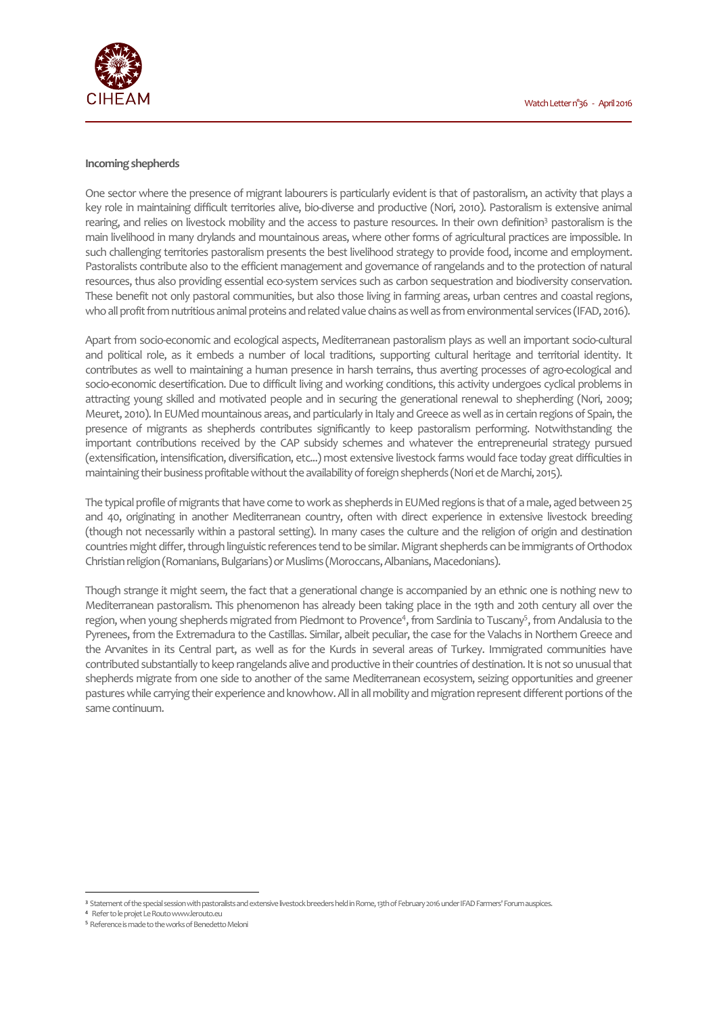

### **Incoming shepherds**

One sector where the presence of migrant labourers is particularly evident is that of pastoralism, an activity that plays a key role in maintaining difficult territories alive, bio-diverse and productive (Nori, 2010). Pastoralism is extensive animal rearing, and relies on livestock mobility and the access to pasture resources. In their own definition<sup>3</sup> pastoralism is the main livelihood in many drylands and mountainous areas, where other forms of agricultural practices are impossible. In such challenging territories pastoralism presents the best livelihood strategy to provide food, income and employment. Pastoralists contribute also to the efficient management and governance of rangelands and to the protection of natural resources, thus also providing essential eco-system services such as carbon sequestration and biodiversity conservation. These benefit not only pastoral communities, but also those living in farming areas, urban centres and coastal regions, who all profit from nutritious animal proteins and related value chains as well as from environmental services (IFAD, 2016).

Apart from socio-economic and ecological aspects, Mediterranean pastoralism plays as well an important socio-cultural and political role, as it embeds a number of local traditions, supporting cultural heritage and territorial identity. It contributes as well to maintaining a human presence in harsh terrains, thus averting processes of agro-ecological and socio-economic desertification. Due to difficult living and working conditions, this activity undergoes cyclical problems in attracting young skilled and motivated people and in securing the generational renewal to shepherding (Nori, 2009; Meuret, 2010). In EUMed mountainous areas, and particularly in Italy and Greece as well as in certain regions of Spain, the presence of migrants as shepherds contributes significantly to keep pastoralism performing. Notwithstanding the important contributions received by the CAP subsidy schemes and whatever the entrepreneurial strategy pursued (extensification, intensification, diversification, etc...) most extensive livestock farms would face today great difficulties in maintaining their business profitable without the availability of foreign shepherds (Nori et de Marchi, 2015).

The typical profile of migrants that have come to work as shepherds in EUMed regions is that of a male, aged between 25 and 40, originating in another Mediterranean country, often with direct experience in extensive livestock breeding (though not necessarily within a pastoral setting). In many cases the culture and the religion of origin and destination countries might differ, through linguistic references tend to be similar. Migrant shepherds can be immigrants of Orthodox Christian religion (Romanians, Bulgarians) or Muslims (Moroccans, Albanians, Macedonians).

Though strange it might seem, the fact that a generational change is accompanied by an ethnic one is nothing new to Mediterranean pastoralism. This phenomenon has already been taking place in the 19th and 20th century all over the region, when young shepherds migrated from Piedmont to Provence<sup>4</sup>, from Sardinia to Tuscany<sup>5</sup>, from Andalusia to the Pyrenees, from the Extremadura to the Castillas. Similar, albeit peculiar, the case for the Valachs in Northern Greece and the Arvanites in its Central part, as well as for the Kurds in several areas of Turkey. Immigrated communities have contributed substantially to keep rangelands alive and productive in their countries of destination. It is not so unusual that shepherds migrate from one side to another of the same Mediterranean ecosystem, seizing opportunities and greener pastures while carrying their experience and knowhow. All in all mobility and migration represent different portions of the same continuum.

 $\overline{a}$ 

<sup>3</sup> Statement of the special session with pastoralists and extensive livestock breeders held in Rome, 13th of February 2016 under IFAD Farmers' Forum auspices.

<sup>4</sup> Refer to le projet Le Routo www.lerouto.eu

<sup>5</sup> Reference is made to the works of Benedetto Meloni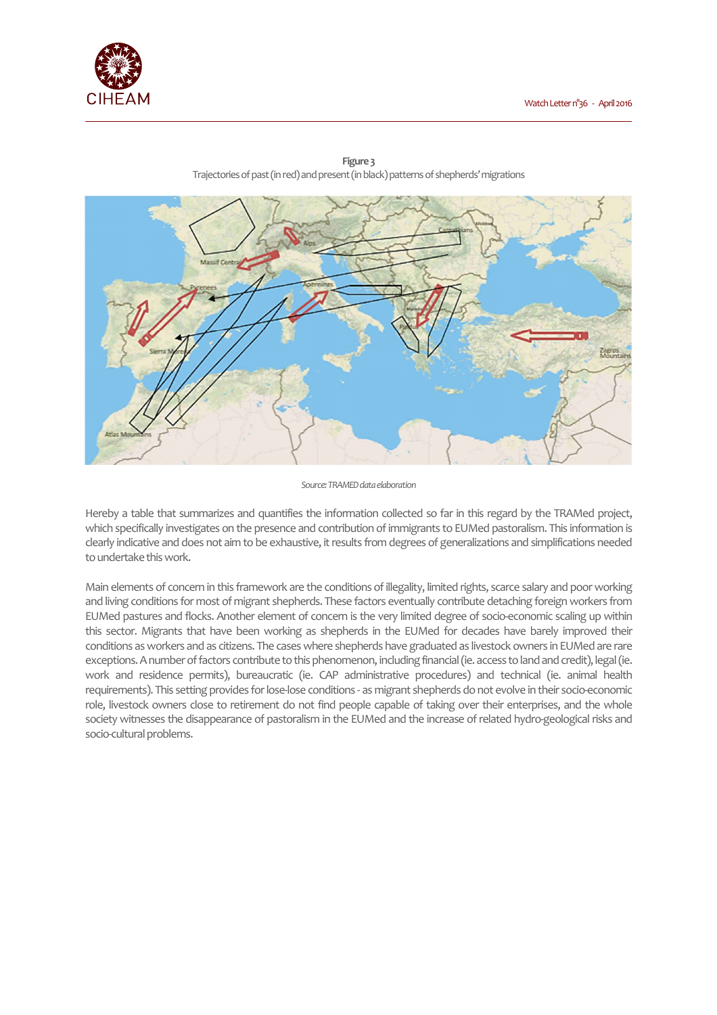



**Figure 3**  Trajectories of past (in red) and present (in black) patterns of shepherds' migrations

Hereby a table that summarizes and quantifies the information collected so far in this regard by the TRAMed project, which specifically investigates on the presence and contribution of immigrants to EUMed pastoralism. This information is clearly indicative and does not aim to be exhaustive, it results from degrees of generalizations and simplifications needed to undertake this work.

Main elements of concern in this framework are the conditions of illegality, limited rights, scarce salary and poor working and living conditions for most of migrant shepherds. These factors eventually contribute detaching foreign workers from EUMed pastures and flocks. Another element of concern is the very limited degree of socio-economic scaling up within this sector. Migrants that have been working as shepherds in the EUMed for decades have barely improved their conditions as workers and as citizens. The cases where shepherds have graduated as livestock owners in EUMed are rare exceptions. A number of factors contribute to this phenomenon, including financial (ie. access to land and credit), legal (ie. work and residence permits), bureaucratic (ie. CAP administrative procedures) and technical (ie. animal health requirements). This setting provides for lose-lose conditions - as migrant shepherds do not evolve in their socio-economic role, livestock owners close to retirement do not find people capable of taking over their enterprises, and the whole society witnesses the disappearance of pastoralism in the EUMed and the increase of related hydro-geological risks and socio-cultural problems.

*Source: TRAMED data elaboration*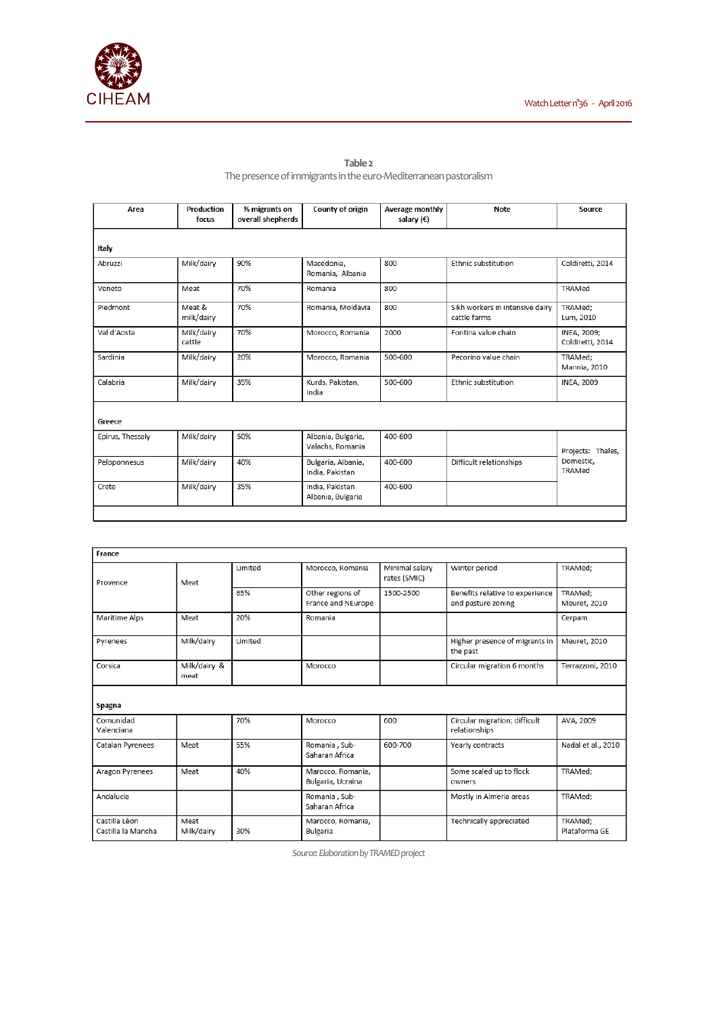

**Table 2**  The presence of immigrants in the euro-Mediterranean pastoralism

| Area             | Production<br>focus  | % migrants on<br>overall shepherds | County of origin                       | Average monthly<br>salary $(\epsilon)$ | Note                                            | Source                                   |  |  |  |
|------------------|----------------------|------------------------------------|----------------------------------------|----------------------------------------|-------------------------------------------------|------------------------------------------|--|--|--|
| Italy            |                      |                                    |                                        |                                        |                                                 |                                          |  |  |  |
| Abruzzi          | Milk/dairy           | 90%                                | Macedonia,<br>Romania, Albania         | 800                                    | Ethnic substitution                             | Coldiretti, 2014                         |  |  |  |
| Veneto           | Meat                 | 70%                                | Romania                                | 800                                    |                                                 | TRAMed                                   |  |  |  |
| Piedmont         | Meat &<br>milk/dairy | 70%                                | Romania, Moldavia                      | 800                                    | Sikh workers in intensive dairy<br>cattle farms | TRAMed:<br>Lum, 2010                     |  |  |  |
| Val d'Aosta      | Milk/dairy<br>cattle | 70%                                | Morocco, Romania                       | 2000                                   | Fontina value chain                             | INEA, 2009;<br>Coldiretti, 2014          |  |  |  |
| Sardinia         | Milk/dairy           | 20%                                | Morocco, Romania                       | 500-600                                | Pecorino value chain                            | TRAMed:<br>Mannia, 2010                  |  |  |  |
| Calabria         | Milk/dairy           | 35%                                | Kurds, Pakistan,<br>India              | 500-600                                | Ethnic substitution                             | <b>INEA, 2009</b>                        |  |  |  |
| Greece           |                      |                                    |                                        |                                        |                                                 |                                          |  |  |  |
| Epirus, Thessaly | Milk/dairy           | 50%                                | Albania, Bulgaria,<br>Valachs, Romania | 400-600                                |                                                 | Projects: Thales,<br>Domestic,<br>TRAMed |  |  |  |
| Peloponnesus     | Milk/dairy           | 40%                                | Bulgaria, Albania,<br>India, Pakistan  | 400-600                                | Difficult relationships                         |                                          |  |  |  |
| Crete            | Milk/dairy           | 35%                                | India, Pakistan<br>Albania, Bulgaria   | 400-600                                |                                                 |                                          |  |  |  |
|                  |                      |                                    |                                        |                                        |                                                 |                                          |  |  |  |

| France                              |                      |         |                                        |                                |                                                       |                          |  |  |  |
|-------------------------------------|----------------------|---------|----------------------------------------|--------------------------------|-------------------------------------------------------|--------------------------|--|--|--|
| Provence                            | Meat                 | Limited | Morocco, Romania                       | Minimal salary<br>rates (SMIC) | Winter period                                         | TRAMed;                  |  |  |  |
|                                     |                      | 65%     | Other regions of<br>France and NEurope | 1500-2500                      | Benefits relative to experience<br>and pasture zoning | TRAMed:<br>Meuret, 2010  |  |  |  |
| Maritime Alps                       | Meat                 | 20%     | Romania                                |                                |                                                       | Cerpam                   |  |  |  |
| Pyrenees                            | Milk/dairy           | Limited |                                        |                                | Higher presence of migrants in<br>the past            | Meuret, 2010             |  |  |  |
| Corsica                             | Milk/dairy &<br>meat |         | Morocco                                |                                | Circular migration 6 months                           | Terrazzoni, 2010         |  |  |  |
| Spagna                              |                      |         |                                        |                                |                                                       |                          |  |  |  |
| Comunidad<br>Valenciana             |                      | 70%     | Morocco                                | 600                            | Circular migration; difficult<br>relationships        | AVA, 2009                |  |  |  |
| Catalan Pyrenees                    | Meat                 | 55%     | Romania , Sub-<br>Saharan Africa       | 600-700                        | Yearly contracts                                      | Nadal et al., 2010       |  |  |  |
| Aragon Pyrenees                     | Meat                 | 40%     | Marocco, Romania,<br>Bulgaria, Ucraina |                                | Some scaled up to flock<br>owners                     | TRAMed:                  |  |  |  |
| Andalucia                           |                      |         | Romania, Sub-<br>Saharan Africa        |                                | Mostly in Almeria areas                               | TRAMed;                  |  |  |  |
| Castilla Lèon<br>Castilla la Mancha | Meat<br>Milk/dairy   | 30%     | Marocco, Romania,<br>Bulgaria          |                                | Technically appreciated                               | TRAMed:<br>Plataforma GE |  |  |  |

*Source: Elaboration by TRAMED project*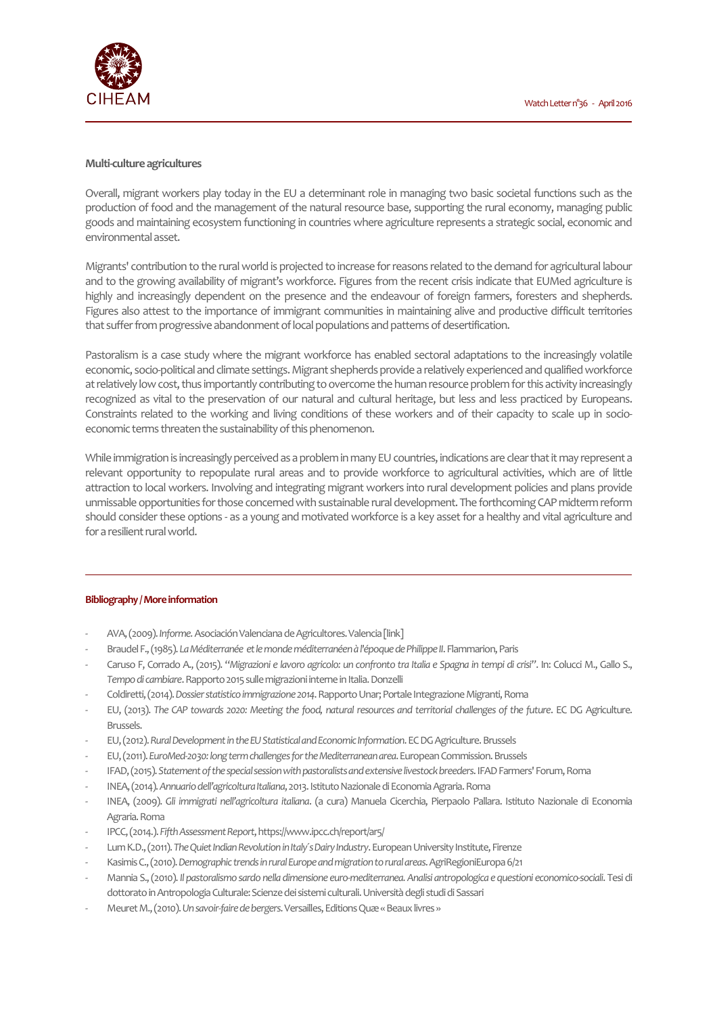

### **Multi-culture agricultures**

Overall, migrant workers play today in the EU a determinant role in managing two basic societal functions such as the production of food and the management of the natural resource base, supporting the rural economy, managing public goods and maintaining ecosystem functioning in countries where agriculture represents a strategic social, economic and environmental asset.

Migrants' contribution to the rural world is projected to increase for reasons related to the demand for agricultural labour and to the growing availability of migrant's workforce. Figures from the recent crisis indicate that EUMed agriculture is highly and increasingly dependent on the presence and the endeavour of foreign farmers, foresters and shepherds. Figures also attest to the importance of immigrant communities in maintaining alive and productive difficult territories that suffer from progressive abandonment of local populations and patterns of desertification.

Pastoralism is a case study where the migrant workforce has enabled sectoral adaptations to the increasingly volatile economic, socio-political and climate settings. Migrant shepherds provide a relatively experienced and qualified workforce at relatively low cost, thus importantly contributing to overcome the human resource problem for this activity increasingly recognized as vital to the preservation of our natural and cultural heritage, but less and less practiced by Europeans. Constraints related to the working and living conditions of these workers and of their capacity to scale up in socioeconomic terms threaten the sustainability of this phenomenon.

While immigration is increasingly perceived as a problem in many EU countries, indications are clear that it may represent a relevant opportunity to repopulate rural areas and to provide workforce to agricultural activities, which are of little attraction to local workers. Involving and integrating migrant workers into rural development policies and plans provide unmissable opportunities for those concerned with sustainable rural development. The forthcoming CAP midterm reform should consider these options - as a young and motivated workforce is a key asset for a healthy and vital agriculture and for a resilient rural world.

### **Bibliography / More information**

- AVA, (2009). *Informe.* Asociación Valenciana de Agricultores. Valencia [link]
- Braudel F., (1985). *La Méditerranée et le monde méditerranéen à l'époque de Philippe II*. Flammarion, Paris
- Caruso F, Corrado A., (2015). "*Migrazioni e lavoro agricolo: un confronto tra Italia e Spagna in tempi di crisi"*. In: Colucci M., Gallo S., *Tempo di cambiare*. Rapporto 2015 sulle migrazioni interne in Italia. Donzelli
- Coldiretti, (2014). *Dossier statistico immigrazione 2014*. Rapporto Unar; Portale Integrazione Migranti, Roma
- EU, (2013). *The CAP towards 2020: Meeting the food, natural resources and territorial challenges of the future*. EC DG Agriculture. Brussels.
- EU, (2012). *Rural Development in the EU Statistical and Economic Information*. EC DG Agriculture. Brussels
- EU, (2011). *EuroMed-2030: long term challenges for the Mediterranean area*. European Commission. Brussels
- IFAD, (2015). *Statement of the special session with pastoralists and extensive livestock breeders*. IFAD Farmers' Forum, Roma
- INEA, (2014). *Annuario dell'agricoltura Italiana*, 2013. Istituto Nazionale di Economia Agraria. Roma
- INEA, (2009). *Gli immigrati nell'agricoltura italiana*. (a cura) Manuela Cicerchia, Pierpaolo Pallara. Istituto Nazionale di Economia Agraria. Roma
- IPCC, (2014.). *Fifth Assessment Report*, https://www.ipcc.ch/report/ar5/
- Lum K.D., (2011). *The Quiet Indian Revolution in Italy´s Dairy Industry*. European University Institute, Firenze
- Kasimis C., (2010). *Demographic trends in rural Europe and migration to rural areas*. AgriRegioniEuropa 6/21
- Mannia S., (2010). *Il pastoralismo sardo nella dimensione euro-mediterranea. Analisi antropologica e questioni economico-sociali*. Tesi di dottorato in Antropologia Culturale: Scienze dei sistemi culturali. Università degli studi di Sassari
- Meuret M., (2010). *Un savoir-faire de bergers*. Versailles, Editions Quæ « Beaux livres »